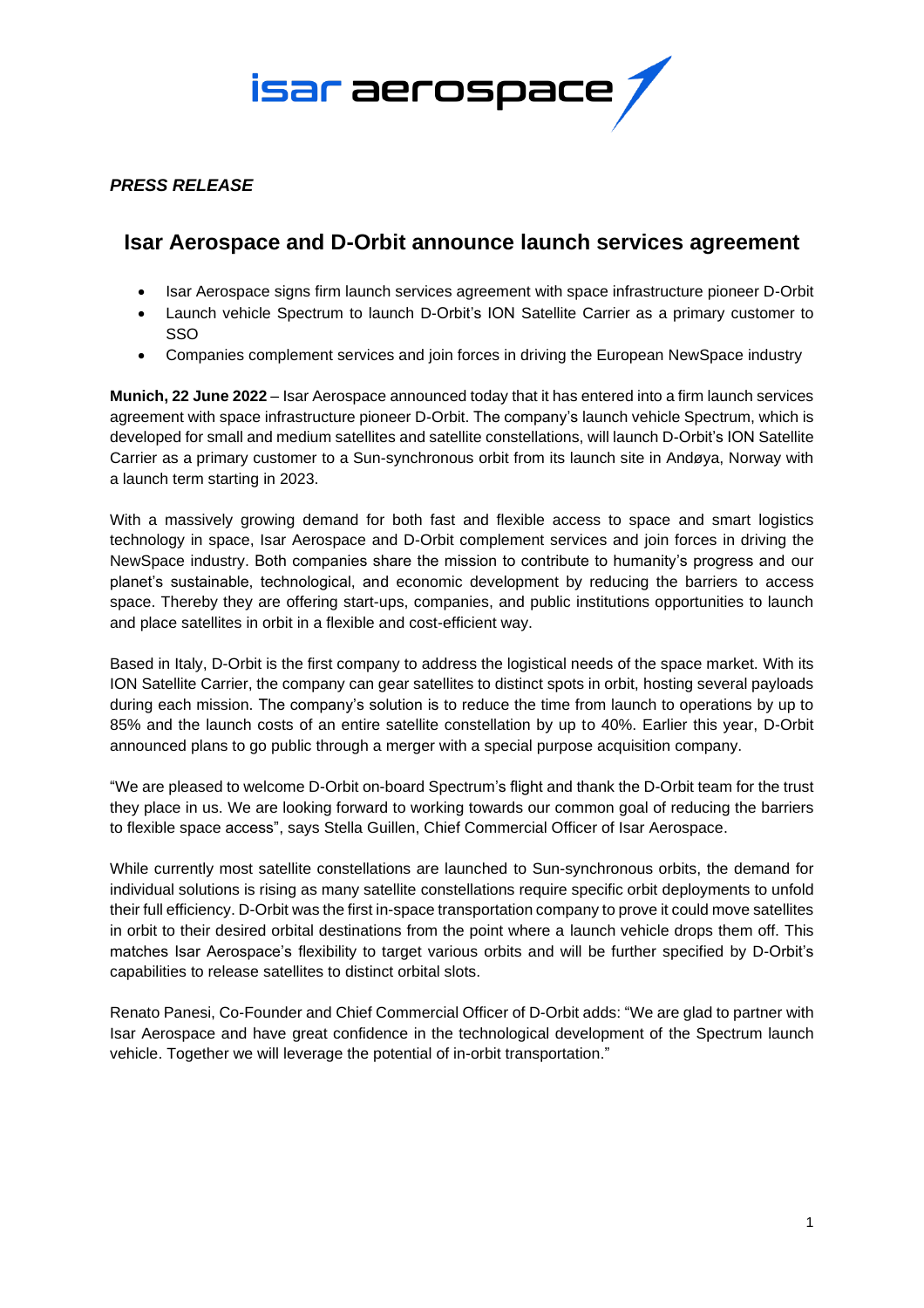

## *PRESS RELEASE*

# **Isar Aerospace and D-Orbit announce launch services agreement**

- Isar Aerospace signs firm launch services agreement with space infrastructure pioneer D-Orbit
- Launch vehicle Spectrum to launch D-Orbit's ION Satellite Carrier as a primary customer to SSO
- Companies complement services and join forces in driving the European NewSpace industry

**Munich, 22 June 2022** – Isar Aerospace announced today that it has entered into a firm launch services agreement with space infrastructure pioneer D-Orbit. The company's launch vehicle Spectrum, which is developed for small and medium satellites and satellite constellations, will launch D-Orbit's ION Satellite Carrier as a primary customer to a Sun-synchronous orbit from its launch site in Andøya, Norway with a launch term starting in 2023.

With a massively growing demand for both fast and flexible access to space and smart logistics technology in space, Isar Aerospace and D-Orbit complement services and join forces in driving the NewSpace industry. Both companies share the mission to contribute to humanity's progress and our planet's sustainable, technological, and economic development by reducing the barriers to access space. Thereby they are offering start-ups, companies, and public institutions opportunities to launch and place satellites in orbit in a flexible and cost-efficient way.

Based in Italy, D-Orbit is the first company to address the logistical needs of the space market. With its ION Satellite Carrier, the company can gear satellites to distinct spots in orbit, hosting several payloads during each mission. The company's solution is to reduce the time from launch to operations by up to 85% and the launch costs of an entire satellite constellation by up to 40%. Earlier this year, D-Orbit announced plans to go public through a merger with a special purpose acquisition company.

"We are pleased to welcome D-Orbit on-board Spectrum's flight and thank the D-Orbit team for the trust they place in us. We are looking forward to working towards our common goal of reducing the barriers to flexible space access", says Stella Guillen, Chief Commercial Officer of Isar Aerospace.

While currently most satellite constellations are launched to Sun-synchronous orbits, the demand for individual solutions is rising as many satellite constellations require specific orbit deployments to unfold their full efficiency. D-Orbit was the first in-space transportation company to prove it could move satellites in orbit to their desired orbital destinations from the point where a launch vehicle drops them off. This matches Isar Aerospace's flexibility to target various orbits and will be further specified by D-Orbit's capabilities to release satellites to distinct orbital slots.

Renato Panesi, Co-Founder and Chief Commercial Officer of D-Orbit adds: "We are glad to partner with Isar Aerospace and have great confidence in the technological development of the Spectrum launch vehicle. Together we will leverage the potential of in-orbit transportation."